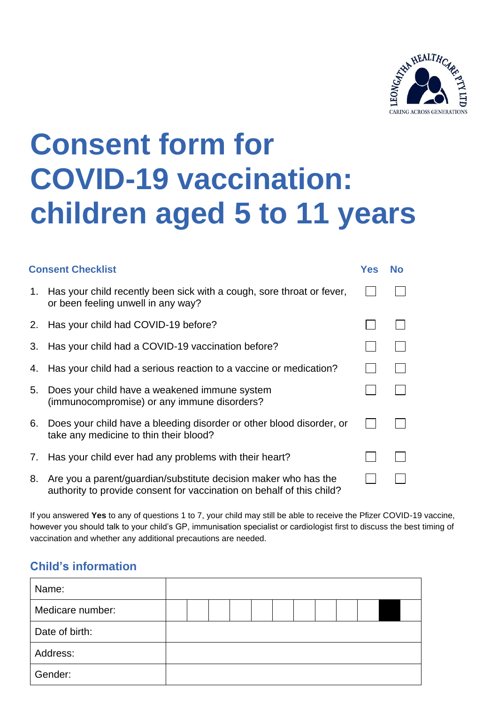

## **Consent form for COVID-19 vaccination: children aged 5 to 11 years**

| <b>Consent Checklist</b> |                                                                                                                                          |  | No |  |
|--------------------------|------------------------------------------------------------------------------------------------------------------------------------------|--|----|--|
| 1.                       | Has your child recently been sick with a cough, sore throat or fever,<br>or been feeling unwell in any way?                              |  |    |  |
|                          | 2. Has your child had COVID-19 before?                                                                                                   |  |    |  |
| 3.                       | Has your child had a COVID-19 vaccination before?                                                                                        |  |    |  |
| 4.                       | Has your child had a serious reaction to a vaccine or medication?                                                                        |  |    |  |
| 5.                       | Does your child have a weakened immune system<br>(immunocompromise) or any immune disorders?                                             |  |    |  |
| 6.                       | Does your child have a bleeding disorder or other blood disorder, or<br>take any medicine to thin their blood?                           |  |    |  |
| 7.                       | Has your child ever had any problems with their heart?                                                                                   |  |    |  |
| 8.                       | Are you a parent/guardian/substitute decision maker who has the<br>authority to provide consent for vaccination on behalf of this child? |  |    |  |

If you answered **Yes** to any of questions 1 to 7, your child may still be able to receive the Pfizer COVID-19 vaccine, however you should talk to your child's GP, immunisation specialist or cardiologist first to discuss the best timing of vaccination and whether any additional precautions are needed.

## **Child's information**

| Name:            |  |  |  |  |  |  |  |
|------------------|--|--|--|--|--|--|--|
| Medicare number: |  |  |  |  |  |  |  |
| Date of birth:   |  |  |  |  |  |  |  |
| Address:         |  |  |  |  |  |  |  |
| Gender:          |  |  |  |  |  |  |  |